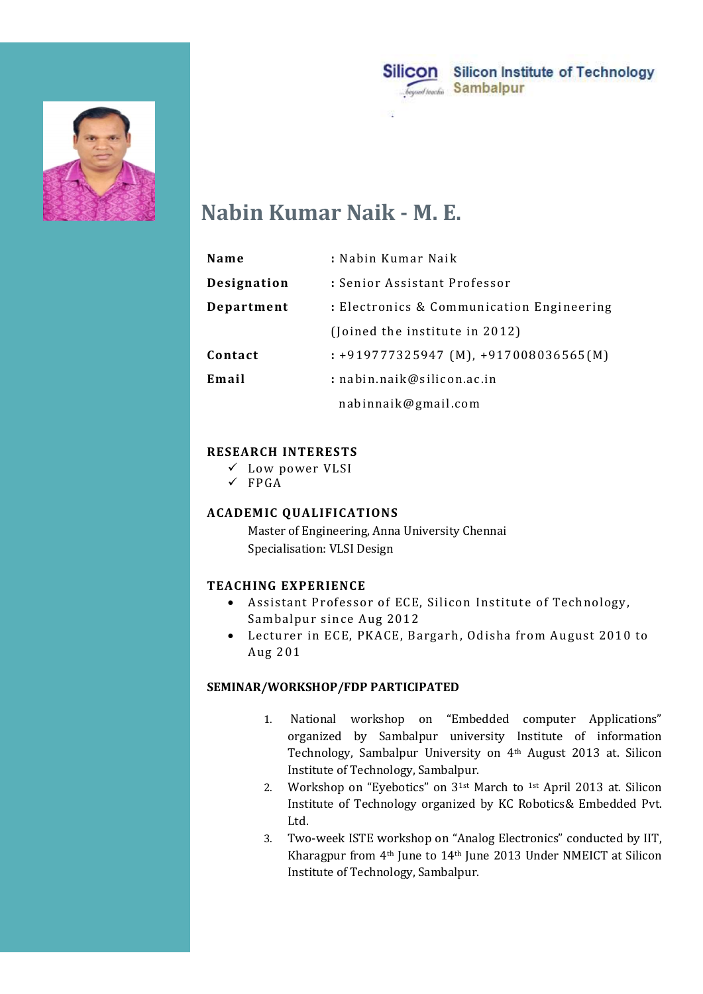



# Nabin Kumar Naik - M. E.

|             | Silicon<br>Silicon Institute of Technology<br>Sambalpur<br>beyond teachin |
|-------------|---------------------------------------------------------------------------|
|             |                                                                           |
|             |                                                                           |
|             | <b>Nabin Kumar Naik - M. E.</b>                                           |
|             |                                                                           |
| Name        | : Nabin Kumar Naik                                                        |
| Designation | : Senior Assistant Professor                                              |
| Department  | : Electronics & Communication Engineering                                 |
|             | (Joined the institute in 2012)                                            |
| Contact     | $: +919777325947$ (M), $+917008036565$ (M)                                |
| Email       | : nabin.naik@silicon.ac.in                                                |

#### RESEARCH INTERESTS

- Low power VLSI
- $\checkmark$  FPGA

### ACADEMIC QUALIFICATIONS

 Master of Engineering, Anna University Chennai Specialisation: VLSI Design

#### TEACHING EXPERIENCE

- Assistant Professor of ECE, Silicon Institute of Technology, Sambalpur since Aug 2012
- Lecturer in ECE, PKACE, Bargarh, Odisha from August 2010 to Aug 201

#### SEMINAR/WORKSHOP/FDP PARTICIPATED

- 1. National workshop on "Embedded computer Applications" organized by Sambalpur university Institute of information Technology, Sambalpur University on 4th August 2013 at. Silicon Institute of Technology, Sambalpur.
- 2. Workshop on "Eyebotics" on 31st March to 1st April 2013 at. Silicon Institute of Technology organized by KC Robotics& Embedded Pvt. Ltd.
- 3. Two-week ISTE workshop on "Analog Electronics" conducted by IIT, Kharagpur from 4th June to 14th June 2013 Under NMEICT at Silicon Institute of Technology, Sambalpur.